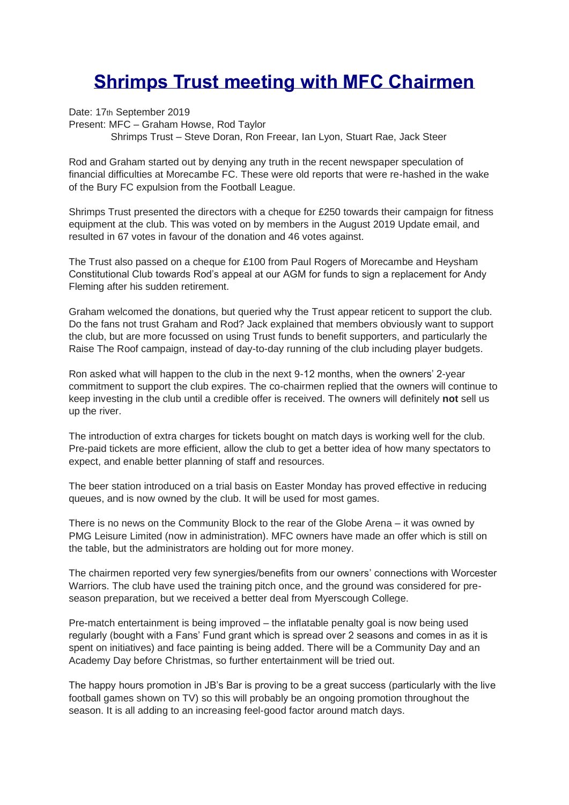## **Shrimps Trust meeting with MFC Chairmen**

Date: 17th September 2019 Present: MFC – Graham Howse, Rod Taylor Shrimps Trust – Steve Doran, Ron Freear, Ian Lyon, Stuart Rae, Jack Steer

Rod and Graham started out by denying any truth in the recent newspaper speculation of financial difficulties at Morecambe FC. These were old reports that were re-hashed in the wake of the Bury FC expulsion from the Football League.

Shrimps Trust presented the directors with a cheque for £250 towards their campaign for fitness equipment at the club. This was voted on by members in the August 2019 Update email, and resulted in 67 votes in favour of the donation and 46 votes against.

The Trust also passed on a cheque for £100 from Paul Rogers of Morecambe and Heysham Constitutional Club towards Rod's appeal at our AGM for funds to sign a replacement for Andy Fleming after his sudden retirement.

Graham welcomed the donations, but queried why the Trust appear reticent to support the club. Do the fans not trust Graham and Rod? Jack explained that members obviously want to support the club, but are more focussed on using Trust funds to benefit supporters, and particularly the Raise The Roof campaign, instead of day-to-day running of the club including player budgets.

Ron asked what will happen to the club in the next 9-12 months, when the owners' 2-year commitment to support the club expires. The co-chairmen replied that the owners will continue to keep investing in the club until a credible offer is received. The owners will definitely **not** sell us up the river.

The introduction of extra charges for tickets bought on match days is working well for the club. Pre-paid tickets are more efficient, allow the club to get a better idea of how many spectators to expect, and enable better planning of staff and resources.

The beer station introduced on a trial basis on Easter Monday has proved effective in reducing queues, and is now owned by the club. It will be used for most games.

There is no news on the Community Block to the rear of the Globe Arena – it was owned by PMG Leisure Limited (now in administration). MFC owners have made an offer which is still on the table, but the administrators are holding out for more money.

The chairmen reported very few synergies/benefits from our owners' connections with Worcester Warriors. The club have used the training pitch once, and the ground was considered for preseason preparation, but we received a better deal from Myerscough College.

Pre-match entertainment is being improved – the inflatable penalty goal is now being used regularly (bought with a Fans' Fund grant which is spread over 2 seasons and comes in as it is spent on initiatives) and face painting is being added. There will be a Community Day and an Academy Day before Christmas, so further entertainment will be tried out.

The happy hours promotion in JB's Bar is proving to be a great success (particularly with the live football games shown on TV) so this will probably be an ongoing promotion throughout the season. It is all adding to an increasing feel-good factor around match days.